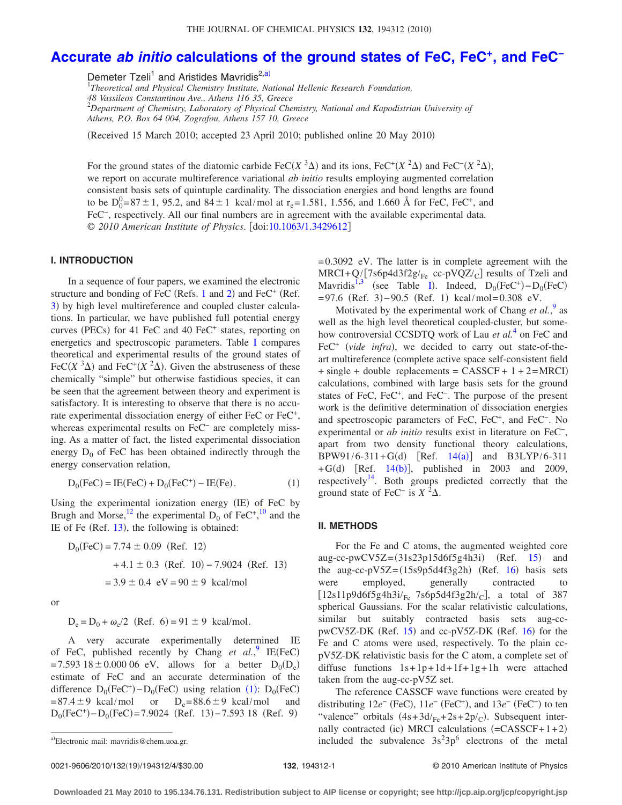# **Accurate** *ab initio* **[calculations of the ground states of FeC, FeC+, and FeC−](http://dx.doi.org/10.1063/1.3429612)**

Demeter Tzeli<sup>1</sup> and Aristides Mavridis<sup>2[,a](#page-0-0))</sup>

1 *Theoretical and Physical Chemistry Institute, National Hellenic Research Foundation, 48 Vassileos Constantinou Ave., Athens 116 35, Greece* 2 *Department of Chemistry, Laboratory of Physical Chemistry, National and Kapodistrian University of Athens, P.O. Box 64 004, Zografou, Athens 157 10, Greece*

(Received 15 March 2010; accepted 23 April 2010; published online 20 May 2010)

For the ground states of the diatomic carbide FeC( $X$ <sup>3</sup> $\Delta$ ) and its ions, FeC<sup>+</sup>( $X$ <sup>2</sup> $\Delta$ ) and FeC<sup>−</sup>( $X$ <sup>2</sup> $\Delta$ ), we report on accurate multireference variational *ab initio* results employing augmented correlation consistent basis sets of quintuple cardinality. The dissociation energies and bond lengths are found to be  $D_0^0 = 87 \pm 1$ , 95.2, and  $84 \pm 1$  kcal/mol at r<sub>e</sub> = 1.581, 1.556, and 1.660 Å for FeC, FeC<sup>+</sup>, and FeC−, respectively. All our final numbers are in agreement with the available experimental data. © *2010 American Institute of Physics*. doi[:10.1063/1.3429612](http://dx.doi.org/10.1063/1.3429612)

### **I. INTRODUCTION**

In a sequence of four papers, we examined the electronic structure and bonding of FeC (Refs. [1](#page-3-0) and [2](#page-3-1)) and FeC<sup>+</sup> (Ref. [3](#page-3-2)) by high level multireference and coupled cluster calculations. In particular, we have published full potential energy curves (PECs) for 41 FeC and 40 FeC<sup>+</sup> states, reporting on energetics and spectroscopic parameters. Table [I](#page-1-0) compares theoretical and experimental results of the ground states of FeC( $X$ <sup>3</sup> $\Delta$ ) and FeC<sup>+</sup>( $X$ <sup>2</sup> $\Delta$ ). Given the abstruseness of these chemically "simple" but otherwise fastidious species, it can be seen that the agreement between theory and experiment is satisfactory. It is interesting to observe that there is no accurate experimental dissociation energy of either FeC or FeC<sup>+</sup>, whereas experimental results on FeC− are completely missing. As a matter of fact, the listed experimental dissociation energy  $D_0$  of FeC has been obtained indirectly through the energy conservation relation,

$$
D_0(\text{FeC}) = \text{IE}(\text{FeC}) + D_0(\text{FeC}^+) - \text{IE}(\text{Fe}).\tag{1}
$$

<span id="page-0-1"></span>Using the experimental ionization energy (IE) of FeC by Brugh and Morse,<sup>12</sup> the experimental  $D_0$  of FeC<sup>+</sup>,<sup>[10](#page-3-4)</sup> and the IE of Fe (Ref.  $13$ ), the following is obtained:

$$
D_0(\text{FeC}) = 7.74 \pm 0.09 \text{ (Ref. 12)}+ 4.1 \pm 0.3 \text{ (Ref. 10)} - 7.9024 \text{ (Ref. 13)}= 3.9 \pm 0.4 \text{ eV} = 90 \pm 9 \text{ kcal/mol}
$$

or

 $D_e = D_0 + \omega_e/2$  (Ref. 6) = 91 ± 9 kcal/mol.

A very accurate experimentally determined IE of FeC, published recently by Chang  $et \ al.^9$  $et \ al.^9$  IE(FeC)  $= 7.593\ 18 \pm 0.000\ 06\ eV$ , allows for a better  $D_0(D_e)$ estimate of FeC and an accurate determination of the difference  $D_0(FeC^+) - D_0(FeC)$  using relation ([1](#page-0-1)):  $D_0(FeC)$  $= 87.4 \pm 9$  kcal/mol or  $D_e = 88.6 \pm 9$  kcal/mol and  $D_0(FeC^+) - D_0(FeC) = 7.9024$  (Ref. 13) – 7.593 18 (Ref. 9)

=0.3092 eV. The latter is in complete agreement with the  $MRCI+Q/[7s6p4d3f2g/_{Fe}$  cc-pVQZ/<sub>C</sub>] results of Tzeli and Mavridis<sup>1,[3](#page-3-2)</sup> (see Table [I](#page-1-0)). Indeed,  $D_0(FeC^+) - D_0(FeC)$  $= 97.6$  (Ref. 3)  $-90.5$  (Ref. 1) kcal/mol=0.308 eV.

Motivated by the experimental work of Chang et al.<sup>[9](#page-3-6)</sup> as well as the high level theoretical coupled-cluster, but somehow controversial CCSDTQ work of Lau *et al.*[4](#page-3-7) on FeC and FeC<sup>+</sup> (vide infra), we decided to carry out state-of-theart multireference (complete active space self-consistent field  $+$  single + double replacements = CASSCF +  $1 + 2=$ MRCI) calculations, combined with large basis sets for the ground states of FeC, FeC<sup>+</sup>, and FeC<sup>−</sup>. The purpose of the present work is the definitive determination of dissociation energies and spectroscopic parameters of FeC, FeC+, and FeC−. No experimental or *ab initio* results exist in literature on FeC−, apart from two density functional theory calculations,  $BPW91/6-311+G(d)$  [Ref. [14](#page-3-8)(a)] and B3LYP/6-311 + $G(d)$  [Ref. [14](#page-3-9)(b)], published in 2003 and 2009, respectively $14$ . Both groups predicted correctly that the ground state of FeC<sup>-</sup> is  $X^2\Delta$ .

#### **II. METHODS**

For the Fe and C atoms, the augmented weighted core aug-cc-pwCV5Z= $(31s23p15d6f5g4h3i)$  $(31s23p15d6f5g4h3i)$  $(31s23p15d6f5g4h3i)$  (Ref. 15) and the aug-cc-pV5Z= $(15s9p5d4f3g2h)$  (Ref. [16](#page-3-11)) basis sets were employed, generally contracted to  $[12s11p9d6f5g4h3i/<sub>Fe</sub> 7s6p5d4f3g2h/<sub>C</sub>]$ , a total of 387 spherical Gaussians. For the scalar relativistic calculations, similar but suitably contracted basis sets aug-ccpwCV5Z-DK (Ref.  $15$ ) and cc-pV5Z-DK (Ref.  $16$ ) for the Fe and C atoms were used, respectively. To the plain ccpV5Z-DK relativistic basis for the C atom, a complete set of diffuse functions  $1s+1p+1d+1f+1g+1h$  were attached taken from the aug-cc-pV5Z set.

The reference CASSCF wave functions were created by distributing  $12e^-$  (FeC),  $11e^-$  (FeC<sup>+</sup>), and  $13e^-$  (FeC<sup>-</sup>) to ten "valence" orbitals  $(4s+3d/Fe+2s+2p/c)$ . Subsequent internally contracted (ic) MRCI calculations  $(=CASSCF+1+2)$ a)Electronic mail: mavridis@chem.uoa.gr. https://enumeral.com/included the subvalence  $3s^23p^6$  electrons of the metal

<span id="page-0-0"></span>Electronic mail: mavridis@chem.uoa.gr.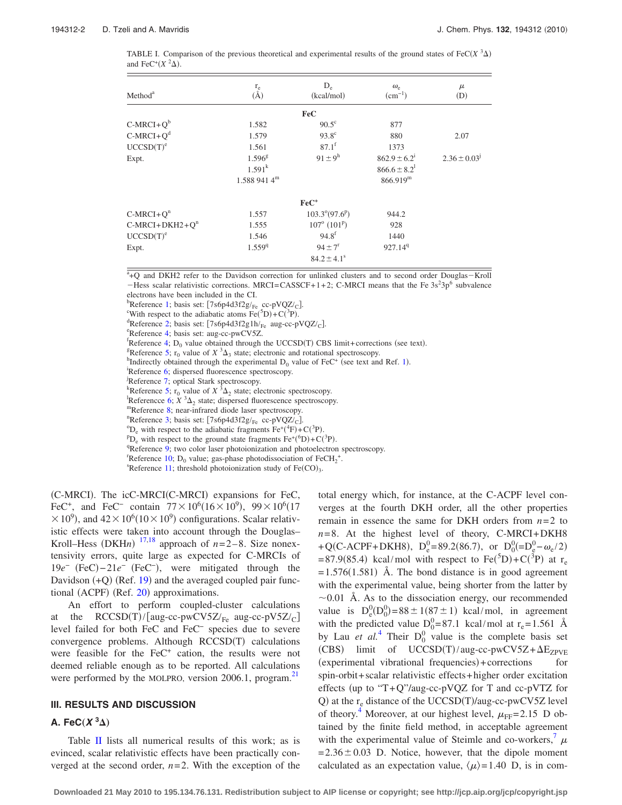<span id="page-1-0"></span>TABLE I. Comparison of the previous theoretical and experimental results of the ground states of FeC $(X^3\Delta)$ and FeC<sup>+</sup> $(X<sup>2</sup>\Delta)$ .

| Method <sup>a</sup>   | $\stackrel{r_e}{(A)}$ | $D_e$<br>(kcal/mol)               | $\omega_e$<br>$(cm^{-1})$    | $\mu$<br>(D)        |
|-----------------------|-----------------------|-----------------------------------|------------------------------|---------------------|
|                       |                       | <b>FeC</b>                        |                              |                     |
| $C-MRCI+Qb$           | 1.582                 | $90.5^{\circ}$                    | 877                          |                     |
| $C-MRCI+Qd$           | 1.579                 | $93.8^\circ$                      | 880                          | 2.07                |
| UCCSD(T) <sup>e</sup> | 1.561                 | $87.1^{f}$                        | 1373                         |                     |
| Expt.                 | $1.596^{8}$           | $91 \pm 9^{\rm h}$                | $862.9 \pm 6.2^1$            | $2.36 \pm 0.03^{j}$ |
|                       | $1.591^{k}$           |                                   | $866.6 \pm 8.2$ <sup>1</sup> |                     |
|                       | $1.5889414^m$         |                                   | 866.919 <sup>m</sup>         |                     |
|                       |                       | $FeC+$                            |                              |                     |
| $C-MRCI+Q^n$          | 1.557                 | $103.3^{\circ}(97.6^{\circ})$     | 944.2                        |                     |
| $C-MRCI+DKH2+Qn$      | 1.555                 | $107^{\circ}$ (101 <sup>P</sup> ) | 928                          |                     |
| UCCSD(T) <sup>e</sup> | 1.546                 | $94.8^{f}$                        | 1440                         |                     |
| Expt.                 | 1.559 <sup>q</sup>    | $94 \pm 7$ <sup>r</sup>           | 927.14 <sup>9</sup>          |                     |
|                       |                       | $84.2 \pm 4.1^s$                  |                              |                     |

| $\rm ^{a}$ +O and DKH2 refer to the Davidson correction for unlinked clusters and to second order Douglas–Kroll |  |  |  |  |  |  |
|-----------------------------------------------------------------------------------------------------------------|--|--|--|--|--|--|
| -Hess scalar relativistic corrections. MRCI=CASSCF+1+2; C-MRCI means that the Fe $3s23p6$ subvalence            |  |  |  |  |  |  |
| electrons have been included in the CI.                                                                         |  |  |  |  |  |  |

bReference [1;](#page-3-0) basis set:  $[7s6p4d3f2g/Fe \text{ cc-}pVQZ/c]$ <br>
EWith regrect to the ediphatic atoms  $Eq(5D)$  ( $G^{(3)}D$ ).

<sup>c</sup>With respect to the adiabatic atoms Fe(<sup>5</sup>D)+C(<sup>3</sup>P).

<sup>d</sup>Reference [2;](#page-3-1) basis set: [7s6p4d3f2g1h/<sub>Fe</sub> aug-cc-pVQZ/<sub>C</sub>].

<sup>e</sup>Reference [4;](#page-3-7) basis set: aug-cc-pwCV5Z.

<sup>E</sup>Reference [4;](#page-3-7) D<sub>0</sub> value obtained through the UCCSD(T) CBS limit+corrections (see text).

<sup>8</sup>Reference [5;](#page-3-18)  $r_0$  value of  $X$ <sup>3</sup> $\Delta_3$  state; electronic and rotational spectroscopy.

 ${}^{\text{h}}$ Indirectly obtained through the experimental D<sub>0</sub> value of FeC<sup>+</sup> (see text and Ref. [1](#page-3-0)).

<sup>1</sup>Reference [6;](#page-3-19) dispersed fluorescence spectroscopy.

Reference [7;](#page-3-17) optical Stark spectroscopy.

Reference [5;](#page-3-18)  $r_0$  value of  $X^3\Delta_2$  state; electronic spectroscopy.<br><sup>1</sup> Reference 6:  $X^3\Delta_1$  state; dispared fluorescopes apartments

Referencce [6;](#page-3-19)  $X$  <sup>3</sup> $\Delta_2$  state; dispersed fluorescence spectroscopy.<br>
"Reference [8;](#page-3-20) near-infrared diode laser spectroscopy.<br>
"Perference 3: besie set:  $[7.65(4.4352)(1.000)(77/1]$ 

<sup>n</sup>Reference [3;](#page-3-2) basis set: [7s6p4d3f2g/<sub>Fe</sub> cc-pVQZ/<sub>C</sub>].

<sup>o</sup>D<sub>e</sub> with respect to the adiabatic fragments  $\text{Fe}^{+}(^{4}\text{F}) + \text{C}^{(3}\text{P})$ .

 ${}^{p}D_{e}$  with respect to the ground state fragments  $Fe^{+}(^{p}D)+C^{3}P$ .

<sup>q</sup>Reference [9;](#page-3-6) two color laser photoionization and photoelectron spectroscopy.

 ${}^{t}$ Reference [10;](#page-3-4) D<sub>0</sub> value; gas-phase photodissociation of FeCH<sub>2</sub><sup>+</sup>.

Reference  $11$ ; threshold photoionization study of Fe(CO)<sub>3</sub>.

(C-MRCI). The icC-MRCI(C-MRCI) expansions for FeC, FeC<sup>+</sup>, and FeC<sup>-</sup> contain  $77 \times 10^6 (16 \times 10^9)$ ,  $99 \times 10^6 (17)$  $\times 10^{9}$ ), and  $42 \times 10^{6} (10 \times 10^{9})$  configurations. Scalar relativistic effects were taken into account through the Douglas– Kroll–Hess (DKH*n*)  $^{17,18}$  $^{17,18}$  $^{17,18}$  $^{17,18}$  approach of *n*=2–8. Size nonextensivity errors, quite large as expected for C-MRCIs of 19*e*<sup>−</sup> (FeC)-21*e*<sup>−</sup> (FeC<sup>−</sup>), were mitigated through the Davidson  $(+Q)$  (Ref. [19](#page-3-14)) and the averaged coupled pair func-tional (ACPF) (Ref. [20](#page-3-15)) approximations.

An effort to perform coupled-cluster calculations at the  $RCCSD(T)/[aug-cc-pwCV5Z/<sub>Fe</sub>]$  aug-cc-pV5Z/<sub>C</sub>] level failed for both FeC and FeC− species due to severe convergence problems. Although RCCSD(T) calculations were feasible for the FeC<sup>+</sup> cation, the results were not deemed reliable enough as to be reported. All calculations were performed by the MOLPRO, version 2006.1, program.<sup>21</sup>

### **III. RESULTS AND DISCUSSION**

# **A.** FeC $(X^3\Delta)$

Table [II](#page-2-0) lists all numerical results of this work; as is evinced, scalar relativistic effects have been practically converged at the second order,  $n=2$ . With the exception of the total energy which, for instance, at the C-ACPF level converges at the fourth DKH order, all the other properties remain in essence the same for DKH orders from *n*=2 to  $n=8$ . At the highest level of theory, C-MRCI+DKH8 +Q(C-ACPF+DKH8),  $D_e^0 = 89.2(86.7)$ , or  $D_0^0 = D_e^0 - \omega_e/2$ )  $= 87.9(85.4)$  kcal/mol with respect to Fe(<sup>5</sup>D)+C(<sup>3</sup>P) at r<sub>e</sub>  $=1.576(1.581)$  Å. The bond distance is in good agreement with the experimental value, being shorter from the latter by  $\sim$ 0.01 Å. As to the dissociation energy, our recommended value is  $D_e^0(D_0^0) = 88 \pm 1(87 \pm 1)$  kcal/mol, in agreement with the predicted value  $D_0^0 = 87.1$  kcal/mol at r<sub>e</sub>=1.561 Å by Lau *et al.*<sup>[4](#page-3-7)</sup> Their  $D_0^0$  value is the complete basis set (CBS) limit of UCCSD(T)/aug-cc-pwCV5Z+ $\Delta E_{ZPVE}$ (experimental vibrational frequencies)+corrections for spin-orbit+scalar relativistic effects+higher order excitation effects (up to "T+Q"/aug-cc-pVQZ for T and cc-pVTZ for Q) at the  $r_e$  distance of the UCCSD(T)/aug-cc-pwCV5Z level of theory.<sup>4</sup> Moreover, at our highest level,  $\mu_{FF}$ =2.15 D obtained by the finite field method, in acceptable agreement with the experimental value of Steimle and co-workers,<sup>7</sup>  $\mu$  $=2.36\pm0.03$  D. Notice, however, that the dipole moment calculated as an expectation value,  $\langle \mu \rangle = 1.40$  D, is in com-

**Downloaded 21 May 2010 to 195.134.76.131. Redistribution subject to AIP license or copyright; see http://jcp.aip.org/jcp/copyright.jsp**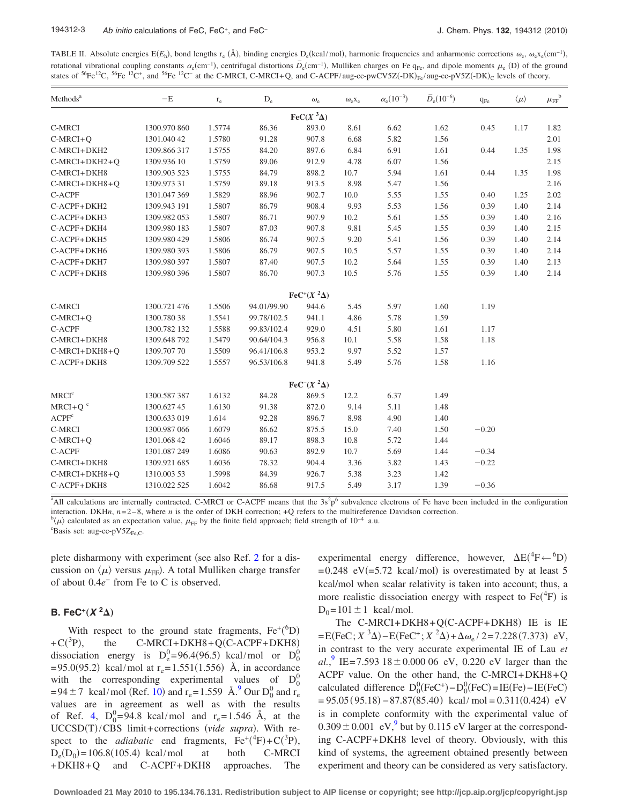<span id="page-2-0"></span>TABLE II. Absolute energies  $E(E_h)$ , bond lengths  $r_e$  (Å), binding energies  $D_e$ (kcal/mol), harmonic frequencies and anharmonic corrections  $\omega_e$ ,  $\omega_e x_e$ (cm<sup>-1</sup>), rotational vibrational coupling constants  $\alpha_e$ (cm<sup>-1</sup>), centrifugal distortions  $\overline{D}_e$ (cm<sup>-1</sup>), Mulliken charges on Fe q<sub>Fe</sub>, and dipole moments  $\mu_e$  (D) of the ground states of <sup>56</sup>Fe<sup>12</sup>C, <sup>56</sup>Fe<sup>12</sup>C<sup>+</sup>, and <sup>56</sup>Fe<sup>12</sup>C<sup>-</sup> at the C-MRCI, C-MRCI+Q, and C-ACPF/aug-cc-pwCV5Z(-DK)<sub>Fe</sub>/aug-cc-pV5Z(-DK)<sub>C</sub> levels of theory.

| Methods <sup>a</sup>    | $-E$         | $\rm r_e$ | $\mathbf{D}_{\rm e}$ | $\omega_{\rm e}$                         | $\omega_{\rm e}$ <sub>x</sub> $_{\rm e}$ | $\alpha_{\rm e}(10^{-3})$ | $\bar{D}_{\rm e} (10^{-6})$ | $q_{Fe}$ | $\langle \mu \rangle$ | $\mu_{\text{FF}}^{\phantom{\text{b}}\text{b}}$ |
|-------------------------|--------------|-----------|----------------------|------------------------------------------|------------------------------------------|---------------------------|-----------------------------|----------|-----------------------|------------------------------------------------|
| $\text{FeC}(X^3\Delta)$ |              |           |                      |                                          |                                          |                           |                             |          |                       |                                                |
| C-MRCI                  | 1300.970 860 | 1.5774    | 86.36                | 893.0                                    | 8.61                                     | 6.62                      | 1.62                        | 0.45     | 1.17                  | 1.82                                           |
| $C-MRCI+Q$              | 1301.040 42  | 1.5780    | 91.28                | 907.8                                    | 6.68                                     | 5.82                      | 1.56                        |          |                       | 2.01                                           |
| C-MRCI+DKH2             | 1309.866 317 | 1.5755    | 84.20                | 897.6                                    | 6.84                                     | 6.91                      | 1.61                        | 0.44     | 1.35                  | 1.98                                           |
| $C-MRCI+DKH2+Q$         | 1309.936 10  | 1.5759    | 89.06                | 912.9                                    | 4.78                                     | 6.07                      | 1.56                        |          |                       | 2.15                                           |
| C-MRCI+DKH8             | 1309.903 523 | 1.5755    | 84.79                | 898.2                                    | 10.7                                     | 5.94                      | 1.61                        | 0.44     | 1.35                  | 1.98                                           |
| $C-MRCI+DKH8+Q$         | 1309.973 31  | 1.5759    | 89.18                | 913.5                                    | 8.98                                     | 5.47                      | 1.56                        |          |                       | 2.16                                           |
| C-ACPF                  | 1301.047 369 | 1.5829    | 88.96                | 902.7                                    | $10.0\,$                                 | 5.55                      | 1.55                        | 0.40     | 1.25                  | 2.02                                           |
| C-ACPF+DKH2             | 1309.943 191 | 1.5807    | 86.79                | 908.4                                    | 9.93                                     | 5.53                      | 1.56                        | 0.39     | 1.40                  | 2.14                                           |
| C-ACPF+DKH3             | 1309.982 053 | 1.5807    | 86.71                | 907.9                                    | 10.2                                     | 5.61                      | 1.55                        | 0.39     | 1.40                  | 2.16                                           |
| C-ACPF+DKH4             | 1309.980 183 | 1.5807    | 87.03                | 907.8                                    | 9.81                                     | 5.45                      | 1.55                        | 0.39     | 1.40                  | 2.15                                           |
| C-ACPF+DKH5             | 1309.980 429 | 1.5806    | 86.74                | 907.5                                    | 9.20                                     | 5.41                      | 1.56                        | 0.39     | 1.40                  | 2.14                                           |
| C-ACPF+DKH6             | 1309.980 393 | 1.5806    | 86.79                | 907.5                                    | 10.5                                     | 5.57                      | 1.55                        | 0.39     | 1.40                  | 2.14                                           |
| C-ACPF+DKH7             | 1309.980 397 | 1.5807    | 87.40                | 907.5                                    | 10.2                                     | 5.64                      | 1.55                        | 0.39     | 1.40                  | 2.13                                           |
| C-ACPF+DKH8             | 1309.980 396 | 1.5807    | 86.70                | 907.3                                    | 10.5                                     | 5.76                      | 1.55                        | 0.39     | 1.40                  | 2.14                                           |
|                         |              |           |                      | $\text{FeC}^{+}(X^2\Delta)$              |                                          |                           |                             |          |                       |                                                |
| C-MRCI                  | 1300.721 476 | 1.5506    | 94.01/99.90          | 944.6                                    | 5.45                                     | 5.97                      | 1.60                        | 1.19     |                       |                                                |
| $C-MRCI+Q$              | 1300.780 38  | 1.5541    | 99.78/102.5          | 941.1                                    | 4.86                                     | 5.78                      | 1.59                        |          |                       |                                                |
| C-ACPF                  | 1300.782 132 | 1.5588    | 99.83/102.4          | 929.0                                    | 4.51                                     | 5.80                      | 1.61                        | 1.17     |                       |                                                |
| C-MRCI+DKH8             | 1309.648 792 | 1.5479    | 90.64/104.3          | 956.8                                    | 10.1                                     | 5.58                      | 1.58                        | 1.18     |                       |                                                |
| $C-MRCI+DKH8+Q$         | 1309.707 70  | 1.5509    | 96.41/106.8          | 953.2                                    | 9.97                                     | 5.52                      | 1.57                        |          |                       |                                                |
| C-ACPF+DKH8             | 1309.709 522 | 1.5557    | 96.53/106.8          | 941.8                                    | 5.49                                     | 5.76                      | 1.58                        | 1.16     |                       |                                                |
|                         |              |           |                      | FeC <sup><math>-(X^2\Delta)</math></sup> |                                          |                           |                             |          |                       |                                                |
| MRCI <sup>c</sup>       | 1300.587 387 | 1.6132    | 84.28                | 869.5                                    | 12.2                                     | 6.37                      | 1.49                        |          |                       |                                                |
| $MRCI+Qc$               | 1300.627 45  | 1.6130    | 91.38                | 872.0                                    | 9.14                                     | 5.11                      | 1.48                        |          |                       |                                                |
| ACPF <sup>c</sup>       | 1300.633 019 | 1.614     | 92.28                | 896.7                                    | 8.98                                     | 4.90                      | 1.40                        |          |                       |                                                |
| C-MRCI                  | 1300.987 066 | 1.6079    | 86.62                | 875.5                                    | 15.0                                     | 7.40                      | 1.50                        | $-0.20$  |                       |                                                |
| $C-MRCI+Q$              | 1301.068 42  | 1.6046    | 89.17                | 898.3                                    | 10.8                                     | 5.72                      | 1.44                        |          |                       |                                                |
| C-ACPF                  | 1301.087 249 | 1.6086    | 90.63                | 892.9                                    | 10.7                                     | 5.69                      | 1.44                        | $-0.34$  |                       |                                                |
| C-MRCI+DKH8             | 1309.921 685 | 1.6036    | 78.32                | 904.4                                    | 3.36                                     | 3.82                      | 1.43                        | $-0.22$  |                       |                                                |
| $C-MRCI+DKH8+Q$         | 1310.003 53  | 1.5998    | 84.39                | 926.7                                    | 5.38                                     | 3.23                      | 1.42                        |          |                       |                                                |
| C-ACPF+DKH8             | 1310.022 525 | 1.6042    | 86.68                | 917.5                                    | 5.49                                     | 3.17                      | 1.39                        | $-0.36$  |                       |                                                |

 $A$ All calculations are internally contracted. C-MRCI or C-ACPF means that the  $3s^2p^6$  subvalence electrons of Fe have been included in the configuration interaction. DKH*n*,  $n=2-8$ , where *n* is the order of DKH correction; +Q refers to the multireference Davidson correction.

 $\mathcal{C}(\mu)$  calculated as an expectation value,  $\mu_{\text{FF}}$  by the finite field approach; field strength of 10<sup>-4</sup> a.u.

 ${}^{\text{c}}$ Basis set: aug-cc-pV5Z<sub>Fe,C</sub>.

plete disharmony with experiment (see also Ref. [2](#page-3-1) for a discussion on  $\langle \mu \rangle$  versus  $\mu_{\text{FF}}$ ). A total Mulliken charge transfer of about 0.4*e*<sup>−</sup> from Fe to C is observed.

# **B.** FeC<sup>+</sup> $(X^2\Delta)$

With respect to the ground state fragments,  $Fe^{+}(^6D)$  $+ C(^3P)$ , the C-MRCI+DKH8+Q(C-ACPF+DKH8) dissociation energy is  $D_e^0 = 96.4(96.5)$  kcal/mol or  $D_0^0$  $= 95.0(95.2)$  kcal/mol at r<sub>e</sub> $= 1.551(1.556)$  Å, in accordance with the corresponding experimental values of  $D_0^0$ =94 ± 7 kcal/mol (Ref. [10](#page-3-4)) and  $r_e$ =1.559 Å.<sup>9</sup> Our D<sub>0</sub><sup>0</sup> and  $r_e$ values are in agreement as well as with the results of Ref. [4,](#page-3-7)  $D_0^0 = 94.8$  kcal/mol and  $r_e = 1.546$  Å, at the UCCSD(T)/CBS limit+corrections (vide supra). With respect to the *adiabatic* end fragments,  $Fe^+(^4F) + C(^3P)$ ,  $D_e(D_0) = 106.8(105.4)$  kcal/mol at both C-MRCI +DKH8+Q and C-ACPF+DKH8 approaches. The

experimental energy difference, however,  $\Delta E(^{4}F \leftarrow ^{6}D)$  $= 0.248$  eV( $= 5.72$  kcal/mol) is overestimated by at least 5 kcal/mol when scalar relativity is taken into account; thus, a more realistic dissociation energy with respect to  $Fe(^{4}F)$  is  $D_0 = 101 \pm 1$  kcal/mol.

The  $C-MRCI+DKH8+Q(C-ACPF+DKH8)$  IE is IE  $= E(FeC; X^3\Delta) - E(FeC^+; X^2\Delta) + \Delta \omega_e / 2 = 7.228(7.373)$  eV, in contrast to the very accurate experimental IE of Lau *et*  $al.^9$  $al.^9$  IE=7.593 18  $\pm$  0.000 06 eV, 0.220 eV larger than the ACPF value. On the other hand, the C-MRCI+DKH8+Q calculated difference  $D_0^0$ (FeC<sup>+</sup>) –  $D_0^0$ (FeC) = IE(Fe) – IE(FeC)  $= 95.05(95.18) - 87.87(85.40)$  kcal/mol  $= 0.311(0.424)$  eV is in complete conformity with the experimental value of  $0.309 \pm 0.001$  eV,<sup>9</sup> but by 0.115 eV larger at the corresponding C-ACPF+DKH8 level of theory. Obviously, with this kind of systems, the agreement obtained presently between experiment and theory can be considered as very satisfactory.